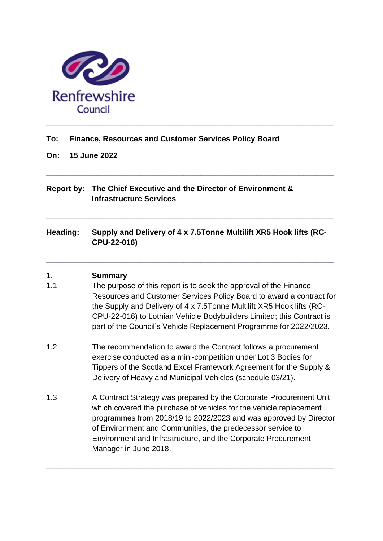

#### **To: Finance, Resources and Customer Services Policy Board**

**On: 15 June 2022**

### **Report by: The Chief Executive and the Director of Environment & Infrastructure Services**

# **Heading: Supply and Delivery of 4 x 7.5Tonne Multilift XR5 Hook lifts (RC-CPU-22-016)**

**\_\_\_\_\_\_\_\_\_\_\_\_\_\_\_\_\_\_\_\_\_\_\_\_\_\_\_\_\_\_\_\_\_\_\_\_\_\_\_\_\_\_\_\_\_\_\_\_\_\_\_\_\_\_\_\_\_\_\_\_\_\_\_\_\_\_\_**

**\_\_\_\_\_\_\_\_\_\_\_\_\_\_\_\_\_\_\_\_\_\_\_\_\_\_\_\_\_\_\_\_\_\_\_\_\_\_\_\_\_\_\_\_\_\_\_\_\_\_\_\_\_\_\_\_\_\_\_\_\_\_\_\_\_\_\_**

**\_\_\_\_\_\_\_\_\_\_\_\_\_\_\_\_\_\_\_\_\_\_\_\_\_\_\_\_\_\_\_\_\_\_\_\_\_\_\_\_\_\_\_\_\_\_\_\_\_\_\_\_\_\_\_\_\_\_\_\_\_\_\_\_\_\_\_**

### 1. **Summary**

- 1.1 The purpose of this report is to seek the approval of the Finance, Resources and Customer Services Policy Board to award a contract for the Supply and Delivery of 4 x 7.5Tonne Multilift XR5 Hook lifts (RC-CPU-22-016) to Lothian Vehicle Bodybuilders Limited; this Contract is part of the Council's Vehicle Replacement Programme for 2022/2023.
- 1.2 The recommendation to award the Contract follows a procurement exercise conducted as a mini-competition under Lot 3 Bodies for Tippers of the Scotland Excel Framework Agreement for the Supply & Delivery of Heavy and Municipal Vehicles (schedule 03/21).
- 1.3 A Contract Strategy was prepared by the Corporate Procurement Unit which covered the purchase of vehicles for the vehicle replacement programmes from 2018/19 to 2022/2023 and was approved by Director of Environment and Communities, the predecessor service to Environment and Infrastructure, and the Corporate Procurement Manager in June 2018.

**\_\_\_\_\_\_\_\_\_\_\_\_\_\_\_\_\_\_\_\_\_\_\_\_\_\_\_\_\_\_\_\_\_\_\_\_\_\_\_\_\_\_\_\_\_\_\_\_\_\_\_\_\_\_\_\_\_\_\_\_\_\_\_\_\_\_\_**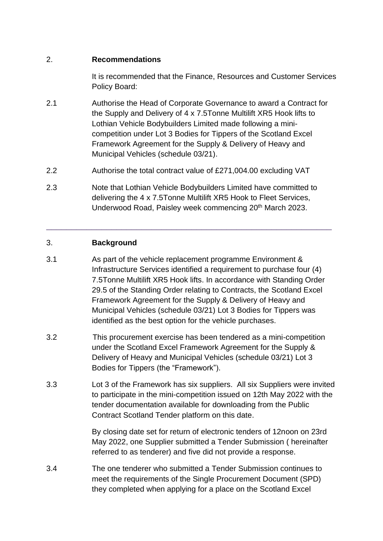#### 2. **Recommendations**

It is recommended that the Finance, Resources and Customer Services Policy Board:

- 2.1 Authorise the Head of Corporate Governance to award a Contract for the Supply and Delivery of 4 x 7.5Tonne Multilift XR5 Hook lifts to Lothian Vehicle Bodybuilders Limited made following a minicompetition under Lot 3 Bodies for Tippers of the Scotland Excel Framework Agreement for the Supply & Delivery of Heavy and Municipal Vehicles (schedule 03/21).
- 2.2 Authorise the total contract value of £271,004.00 excluding VAT
- 2.3 Note that Lothian Vehicle Bodybuilders Limited have committed to delivering the 4 x 7.5Tonne Multilift XR5 Hook to Fleet Services, Underwood Road, Paisley week commencing 20<sup>th</sup> March 2023.

\_\_\_\_\_\_\_\_\_\_\_\_\_\_\_\_\_\_\_\_\_\_\_\_\_\_\_\_\_\_\_\_\_\_\_\_\_\_\_\_\_\_\_\_\_\_\_\_\_\_\_\_\_\_\_\_\_

### 3. **Background**

- 3.1 As part of the vehicle replacement programme Environment & Infrastructure Services identified a requirement to purchase four (4) 7.5Tonne Multilift XR5 Hook lifts. In accordance with Standing Order 29.5 of the Standing Order relating to Contracts, the Scotland Excel Framework Agreement for the Supply & Delivery of Heavy and Municipal Vehicles (schedule 03/21) Lot 3 Bodies for Tippers was identified as the best option for the vehicle purchases.
- 3.2 This procurement exercise has been tendered as a mini-competition under the Scotland Excel Framework Agreement for the Supply & Delivery of Heavy and Municipal Vehicles (schedule 03/21) Lot 3 Bodies for Tippers (the "Framework").
- 3.3 Lot 3 of the Framework has six suppliers. All six Suppliers were invited to participate in the mini-competition issued on 12th May 2022 with the tender documentation available for downloading from the Public Contract Scotland Tender platform on this date.

By closing date set for return of electronic tenders of 12noon on 23rd May 2022, one Supplier submitted a Tender Submission ( hereinafter referred to as tenderer) and five did not provide a response.

3.4 The one tenderer who submitted a Tender Submission continues to meet the requirements of the Single Procurement Document (SPD) they completed when applying for a place on the Scotland Excel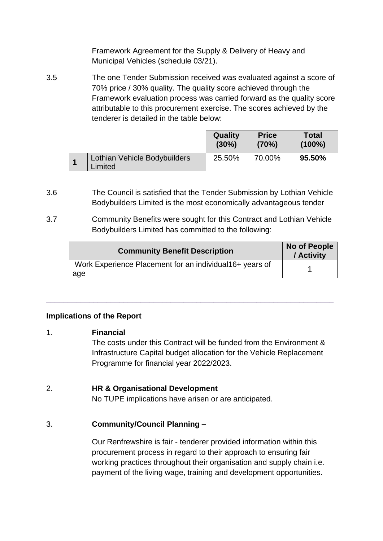Framework Agreement for the Supply & Delivery of Heavy and Municipal Vehicles (schedule 03/21).

3.5 The one Tender Submission received was evaluated against a score of 70% price / 30% quality. The quality score achieved through the Framework evaluation process was carried forward as the quality score attributable to this procurement exercise. The scores achieved by the tenderer is detailed in the table below:

|                                         | Quality<br>(30%) | <b>Price</b><br>(70%) | <b>Total</b><br>$(100\%)$ |
|-----------------------------------------|------------------|-----------------------|---------------------------|
| Lothian Vehicle Bodybuilders<br>Limited | 25.50%           | 70.00%                | 95.50%                    |

- 3.6 The Council is satisfied that the Tender Submission by Lothian Vehicle Bodybuilders Limited is the most economically advantageous tender
- 3.7 Community Benefits were sought for this Contract and Lothian Vehicle Bodybuilders Limited has committed to the following:

**\_\_\_\_\_\_\_\_\_\_\_\_\_\_\_\_\_\_\_\_\_\_\_\_\_\_\_\_\_\_\_\_\_\_\_\_\_\_\_\_\_\_\_\_\_\_\_\_\_\_\_\_\_\_\_\_\_\_\_\_\_\_\_\_\_\_\_**

| <b>Community Benefit Description</b>                            | No of People<br>/ Activity |
|-----------------------------------------------------------------|----------------------------|
| Work Experience Placement for an individual 16+ years of<br>age |                            |

### **Implications of the Report**

### 1. **Financial**

The costs under this Contract will be funded from the Environment & Infrastructure Capital budget allocation for the Vehicle Replacement Programme for financial year 2022/2023.

### 2. **HR & Organisational Development**

No TUPE implications have arisen or are anticipated.

### 3. **Community/Council Planning –**

Our Renfrewshire is fair - tenderer provided information within this procurement process in regard to their approach to ensuring fair working practices throughout their organisation and supply chain i.e. payment of the living wage, training and development opportunities.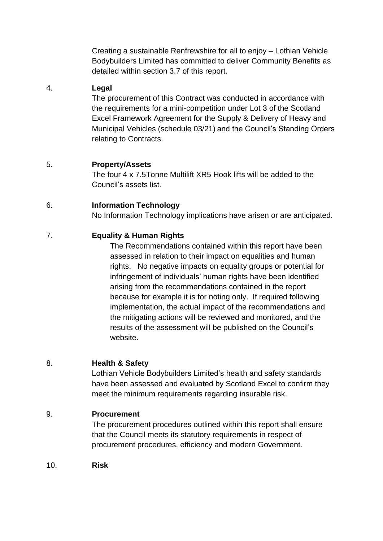Creating a sustainable Renfrewshire for all to enjoy – Lothian Vehicle Bodybuilders Limited has committed to deliver Community Benefits as detailed within section 3.7 of this report.

### 4. **Legal**

The procurement of this Contract was conducted in accordance with the requirements for a mini-competition under Lot 3 of the Scotland Excel Framework Agreement for the Supply & Delivery of Heavy and Municipal Vehicles (schedule 03/21) and the Council's Standing Orders relating to Contracts.

# 5. **Property/Assets**

The four 4 x 7.5Tonne Multilift XR5 Hook lifts will be added to the Council's assets list.

## 6. **Information Technology**

No Information Technology implications have arisen or are anticipated.

# 7. **Equality & Human Rights**

The Recommendations contained within this report have been assessed in relation to their impact on equalities and human rights. No negative impacts on equality groups or potential for infringement of individuals' human rights have been identified arising from the recommendations contained in the report because for example it is for noting only. If required following implementation, the actual impact of the recommendations and the mitigating actions will be reviewed and monitored, and the results of the assessment will be published on the Council's website.

### 8. **Health & Safety**

Lothian Vehicle Bodybuilders Limited's health and safety standards have been assessed and evaluated by Scotland Excel to confirm they meet the minimum requirements regarding insurable risk.

# 9. **Procurement**

The procurement procedures outlined within this report shall ensure that the Council meets its statutory requirements in respect of procurement procedures, efficiency and modern Government.

10. **Risk**